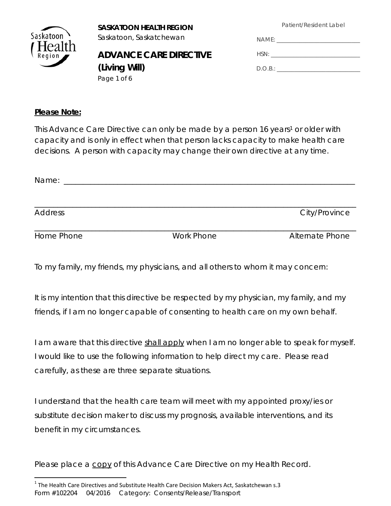Patient/Resident Label



 **SASKATOON HEALTH REGION**  Saskatoon \ Saskatoon, Saskatchewan

#### **ADVANCE CARE DIRECTIVE (Living Will)** Page 1 of 6

| NAME:   |
|---------|
| HSN:    |
| D.O.B.: |

#### *Please Note:*

*This Advance Care Directive can only be made by a person 16 years<sup>1</sup> or older with capacity and is only in effect when that person lacks capacity to make health care decisions. A person with capacity may change their own directive at any time.* 

| Name:          |                   |                        |
|----------------|-------------------|------------------------|
| <b>Address</b> |                   | City/Province          |
| Home Phone     | <b>Work Phone</b> | <b>Alternate Phone</b> |

To my family, my friends, my physicians, and all others to whom it may concern:

It is my intention that this directive be respected by my physician, my family, and my friends, if I am no longer capable of consenting to health care on my own behalf.

I am aware that this directive shall apply when I am no longer able to speak for myself. I would like to use the following information to help direct my care. Please read carefully, as these are three separate situations.

I understand that the health care team will meet with my appointed proxy/ies or substitute decision maker to discuss my prognosis, available interventions, and its benefit in my circumstances.

Please place a copy of this Advance Care Directive on my Health Record.

Form #102204 04/2016 Category: Consents/Release/Transport  $1$  The Health Care Directives and Substitute Health Care Decision Makers Act, Saskatchewan s.3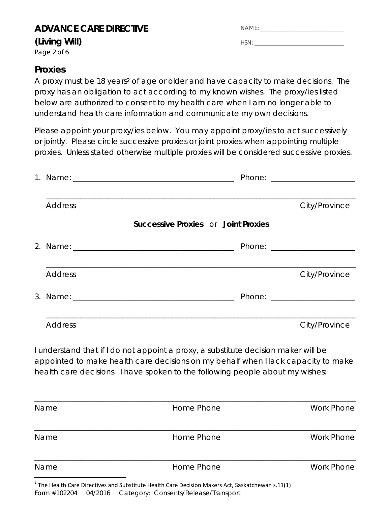### **ADVANCE CARE DIRECTIVE**

#### **(Living Will)**

Page 2 of 6

| NAME: |  |
|-------|--|
|       |  |
| HSN   |  |

## **Proxies**

A proxy must be 18 years<sup>2</sup> of age or older and have capacity to make decisions. The proxy has an obligation to act according to my known wishes. The proxy/ies listed below are authorized to consent to my health care when I am no longer able to understand health care information and communicate my own decisions.

Please appoint your proxy/ies below. You may appoint proxy/ies to act successively or jointly. Please circle successive proxies or joint proxies when appointing multiple proxies. Unless stated otherwise multiple proxies will be considered successive proxies.

| <b>Address</b>                                                                                                                                                                                                                                           | City/Province |
|----------------------------------------------------------------------------------------------------------------------------------------------------------------------------------------------------------------------------------------------------------|---------------|
| <b>Successive Proxies or Joint Proxies</b>                                                                                                                                                                                                               |               |
|                                                                                                                                                                                                                                                          |               |
| <b>Address</b>                                                                                                                                                                                                                                           | City/Province |
|                                                                                                                                                                                                                                                          |               |
|                                                                                                                                                                                                                                                          |               |
| <b>Address</b>                                                                                                                                                                                                                                           | City/Province |
| I understand that if I do not appoint a proxy, a substitute decision maker will be<br>appointed to make health care decisions on my behalf when I lack capacity to make<br>health care decisions. I have spoken to the following people about my wishes: |               |

| Name | Home Phone | <b>Work Phone</b> |
|------|------------|-------------------|
|      |            |                   |
| Name | Home Phone | <b>Work Phone</b> |
|      |            |                   |
| Name | Home Phone | <b>Work Phone</b> |
|      |            |                   |

Form #102204 04/2016 Category: Consents/Release/Transport  $2$  The Health Care Directives and Substitute Health Care Decision Makers Act, Saskatchewan s.11(1)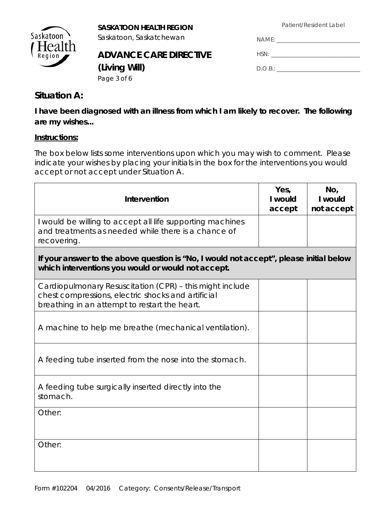Patient/Resident Label



**SASKATOON HEALTH REGION**<br>Saskatoon Saskatchewan Saskatoon, Saskatchewan

## **ADVANCE CARE DIRECTIVE (Living Will)**

| NAME:   |  |
|---------|--|
| HSN:    |  |
| D.O.B.: |  |

Page 3 of 6

#### **Situation A:**

**I have been diagnosed with an illness from which I am likely to recover. The following are my wishes...** 

#### **Instructions:**

The box below lists some interventions upon which you may wish to comment. Please indicate your wishes by placing your initials in the box for the interventions you would accept or not accept under Situation A.

| Intervention                                                                                                                                                    | Yes,<br>I would<br>accept | No,<br>I would<br>not accept |
|-----------------------------------------------------------------------------------------------------------------------------------------------------------------|---------------------------|------------------------------|
| I would be willing to accept all life supporting machines<br>and treatments as needed while there is a chance of<br>recovering.                                 |                           |                              |
| If your answer to the above question is "No, I would not accept", please initial below<br>which interventions you would or would not accept.                    |                           |                              |
| Cardiopulmonary Resuscitation (CPR) - this might include<br>chest compressions, electric shocks and artificial<br>breathing in an attempt to restart the heart. |                           |                              |
| A machine to help me breathe (mechanical ventilation).                                                                                                          |                           |                              |
| A feeding tube inserted from the nose into the stomach.                                                                                                         |                           |                              |
| A feeding tube surgically inserted directly into the<br>stomach.                                                                                                |                           |                              |
| Other:                                                                                                                                                          |                           |                              |
| Other:                                                                                                                                                          |                           |                              |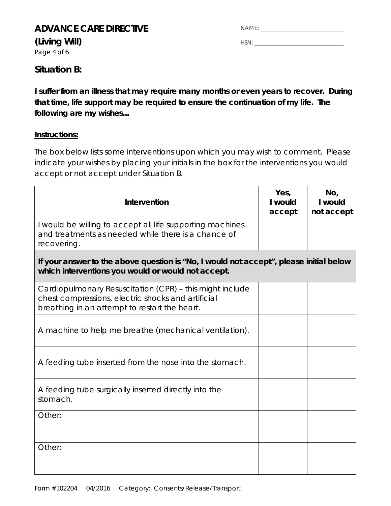#### **ADVANCE CARE DIRECTIVE**

**(Living Will)** 

Page 4 of 6

| NAMF |  |  |
|------|--|--|
|      |  |  |

HSN: \_\_\_\_\_\_\_\_\_\_\_\_\_\_\_\_\_\_\_\_\_\_\_\_\_\_\_\_\_\_\_

### **Situation B:**

**I suffer from an illness that may require many months or even years to recover. During that time, life support may be required to ensure the continuation of my life. The following are my wishes...** 

#### **Instructions:**

The box below lists some interventions upon which you may wish to comment. Please indicate your wishes by placing your initials in the box for the interventions you would accept or not accept under Situation B.

| Intervention                                                                                                                                                    | Yes,<br>I would<br>accept | No,<br>I would<br>not accept |
|-----------------------------------------------------------------------------------------------------------------------------------------------------------------|---------------------------|------------------------------|
| I would be willing to accept all life supporting machines<br>and treatments as needed while there is a chance of<br>recovering.                                 |                           |                              |
| If your answer to the above question is "No, I would not accept", please initial below<br>which interventions you would or would not accept.                    |                           |                              |
| Cardiopulmonary Resuscitation (CPR) - this might include<br>chest compressions, electric shocks and artificial<br>breathing in an attempt to restart the heart. |                           |                              |
| A machine to help me breathe (mechanical ventilation).                                                                                                          |                           |                              |
| A feeding tube inserted from the nose into the stomach.                                                                                                         |                           |                              |
| A feeding tube surgically inserted directly into the<br>stomach.                                                                                                |                           |                              |
| Other:                                                                                                                                                          |                           |                              |
| Other:                                                                                                                                                          |                           |                              |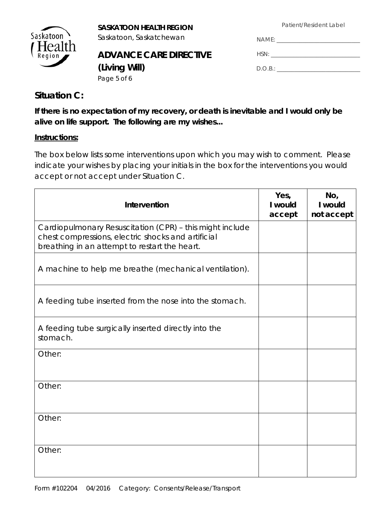Patient/Resident Label



**SASKATOON HEALTH REGION**<br>Saskatoon Saskatchewan

## **ADVANCE CARE DIRECTIVE (Living Will)** Page 5 of 6

| NAME:   |
|---------|
| HSN:    |
| D.O.B.: |

## **Situation C:**

**If there is no expectation of my recovery, or death is inevitable and I would only be alive on life support. The following are my wishes...** 

#### **Instructions:**

The box below lists some interventions upon which you may wish to comment. Please indicate your wishes by placing your initials in the box for the interventions you would accept or not accept under Situation C.

| Intervention                                                                                                                                                    | Yes,<br>I would<br>accept | No,<br>I would<br>not accept |
|-----------------------------------------------------------------------------------------------------------------------------------------------------------------|---------------------------|------------------------------|
| Cardiopulmonary Resuscitation (CPR) - this might include<br>chest compressions, electric shocks and artificial<br>breathing in an attempt to restart the heart. |                           |                              |
| A machine to help me breathe (mechanical ventilation).                                                                                                          |                           |                              |
| A feeding tube inserted from the nose into the stomach.                                                                                                         |                           |                              |
| A feeding tube surgically inserted directly into the<br>stomach.                                                                                                |                           |                              |
| Other:                                                                                                                                                          |                           |                              |
| Other:                                                                                                                                                          |                           |                              |
| Other:                                                                                                                                                          |                           |                              |
| Other:                                                                                                                                                          |                           |                              |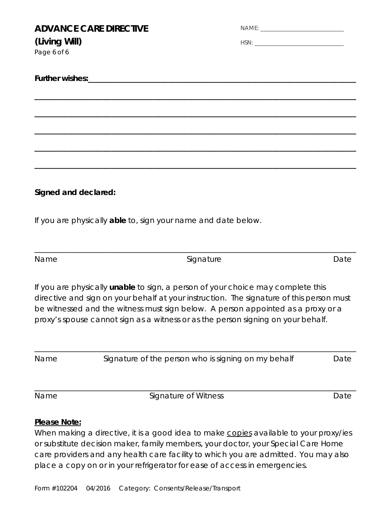| (Living Will)<br>Page 6 of 6 | <b>ADVANCE CARE DIRECTIVE</b>                                 |                                                                                                                                                                                                                                                                                                                                                     |      |
|------------------------------|---------------------------------------------------------------|-----------------------------------------------------------------------------------------------------------------------------------------------------------------------------------------------------------------------------------------------------------------------------------------------------------------------------------------------------|------|
|                              |                                                               |                                                                                                                                                                                                                                                                                                                                                     |      |
|                              |                                                               |                                                                                                                                                                                                                                                                                                                                                     |      |
|                              |                                                               |                                                                                                                                                                                                                                                                                                                                                     |      |
|                              |                                                               |                                                                                                                                                                                                                                                                                                                                                     |      |
|                              |                                                               |                                                                                                                                                                                                                                                                                                                                                     |      |
| Signed and declared:         |                                                               |                                                                                                                                                                                                                                                                                                                                                     |      |
|                              | If you are physically able to, sign your name and date below. |                                                                                                                                                                                                                                                                                                                                                     |      |
| Name                         |                                                               | Signature                                                                                                                                                                                                                                                                                                                                           | Date |
|                              |                                                               | If you are physically unable to sign, a person of your choice may complete this<br>directive and sign on your behalf at your instruction. The signature of this person must<br>be witnessed and the witness must sign below. A person appointed as a proxy or a<br>proxy's spouse cannot sign as a witness or as the person signing on your behalf. |      |
| Name                         |                                                               | Signature of the person who is signing on my behalf                                                                                                                                                                                                                                                                                                 | Date |
| Name                         |                                                               | Signature of Witness                                                                                                                                                                                                                                                                                                                                | Date |
|                              |                                                               |                                                                                                                                                                                                                                                                                                                                                     |      |

#### *Please Note:*

*When making a directive, it is a good idea to make copies available to your proxy/ies or substitute decision maker, family members, your doctor, your Special Care Home care providers and any health care facility to which you are admitted. You may also place a copy on or in your refrigerator for ease of access in emergencies.*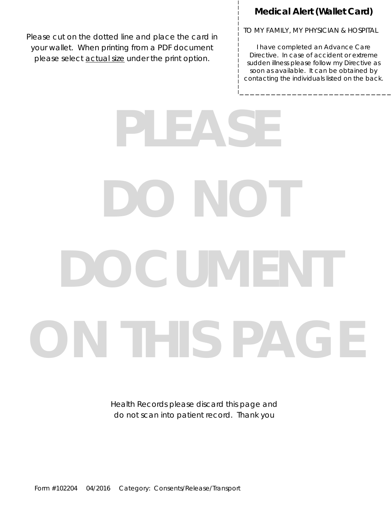#### **Medical Alert (Wallet Card)**

Please cut on the dotted line and place the card in your wallet. When printing from a PDF document please select **actual size** under the print option.

TO MY FAMILY, MY PHYSICIAN & HOSPITAL

I have completed an Advance Care Directive. In case of accident or extreme sudden illness please follow my Directive as soon as available. It can be obtained by contacting the individuals listed on the back.

## **PLEASE DONO DOCUMENT ON THIS PAGE**

Health Records please discard this page and do not scan into patient record. Thank you

Form #102204 04/2016 Category: Consents/Release/Transport